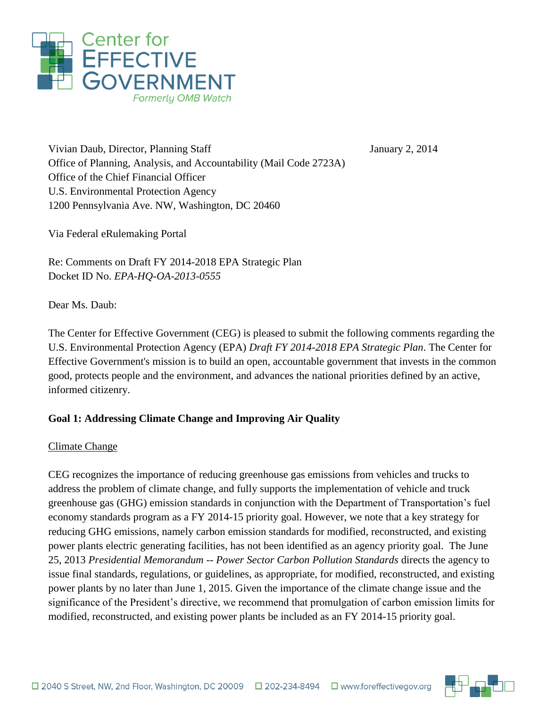

Vivian Daub, Director, Planning Staff January 2, 2014 Office of Planning, Analysis, and Accountability (Mail Code 2723A) Office of the Chief Financial Officer U.S. Environmental Protection Agency 1200 Pennsylvania Ave. NW, Washington, DC 20460

Via Federal eRulemaking Portal

Re: Comments on Draft FY 2014-2018 EPA Strategic Plan Docket ID No. *EPA-HQ-OA-2013-0555*

Dear Ms. Daub:

The Center for Effective Government (CEG) is pleased to submit the following comments regarding the U.S. Environmental Protection Agency (EPA) *Draft FY 2014-2018 EPA Strategic Plan*. The Center for Effective Government's mission is to build an open, accountable government that invests in the common good, protects people and the environment, and advances the national priorities defined by an active, informed citizenry.

## **Goal 1: Addressing Climate Change and Improving Air Quality**

#### Climate Change

CEG recognizes the importance of reducing greenhouse gas emissions from vehicles and trucks to address the problem of climate change, and fully supports the implementation of vehicle and truck greenhouse gas (GHG) emission standards in conjunction with the Department of Transportation's fuel economy standards program as a FY 2014-15 priority goal. However, we note that a key strategy for reducing GHG emissions, namely carbon emission standards for modified, reconstructed, and existing power plants electric generating facilities, has not been identified as an agency priority goal. The June 25, 2013 *Presidential Memorandum -- Power Sector Carbon Pollution Standards* directs the agency to issue final standards, regulations, or guidelines, as appropriate, for modified, reconstructed, and existing power plants by no later than June 1, 2015. Given the importance of the climate change issue and the significance of the President's directive, we recommend that promulgation of carbon emission limits for modified, reconstructed, and existing power plants be included as an FY 2014-15 priority goal.

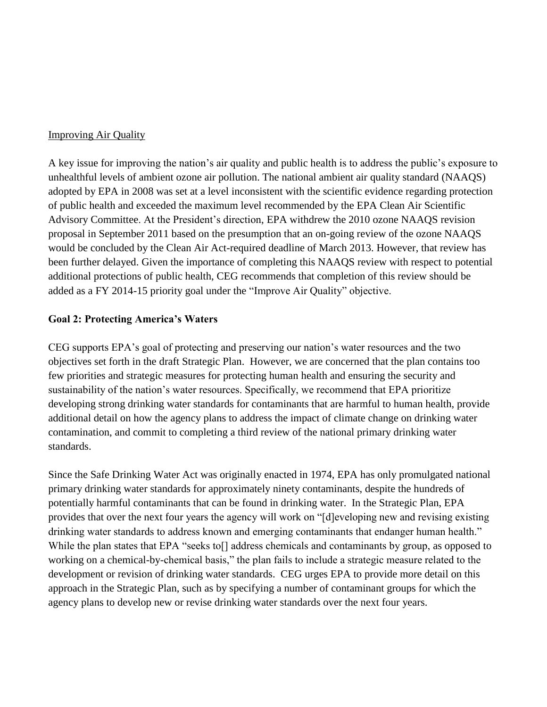#### Improving Air Quality

A key issue for improving the nation's air quality and public health is to address the public's exposure to unhealthful levels of ambient ozone air pollution. The national ambient air quality standard (NAAQS) adopted by EPA in 2008 was set at a level inconsistent with the scientific evidence regarding protection of public health and exceeded the maximum level recommended by the EPA Clean Air Scientific Advisory Committee. At the President's direction, EPA withdrew the 2010 ozone NAAQS revision proposal in September 2011 based on the presumption that an on-going review of the ozone NAAQS would be concluded by the Clean Air Act-required deadline of March 2013. However, that review has been further delayed. Given the importance of completing this NAAQS review with respect to potential additional protections of public health, CEG recommends that completion of this review should be added as a FY 2014-15 priority goal under the "Improve Air Quality" objective.

## **Goal 2: Protecting America's Waters**

CEG supports EPA's goal of protecting and preserving our nation's water resources and the two objectives set forth in the draft Strategic Plan. However, we are concerned that the plan contains too few priorities and strategic measures for protecting human health and ensuring the security and sustainability of the nation's water resources. Specifically, we recommend that EPA prioritize developing strong drinking water standards for contaminants that are harmful to human health, provide additional detail on how the agency plans to address the impact of climate change on drinking water contamination, and commit to completing a third review of the national primary drinking water standards.

Since the Safe Drinking Water Act was originally enacted in 1974, EPA has only promulgated national primary drinking water standards for approximately ninety contaminants, despite the hundreds of potentially harmful contaminants that can be found in drinking water. In the Strategic Plan, EPA provides that over the next four years the agency will work on "[d]eveloping new and revising existing drinking water standards to address known and emerging contaminants that endanger human health." While the plan states that EPA "seeks to<sup>[]</sup> address chemicals and contaminants by group, as opposed to working on a chemical-by-chemical basis," the plan fails to include a strategic measure related to the development or revision of drinking water standards. CEG urges EPA to provide more detail on this approach in the Strategic Plan, such as by specifying a number of contaminant groups for which the agency plans to develop new or revise drinking water standards over the next four years.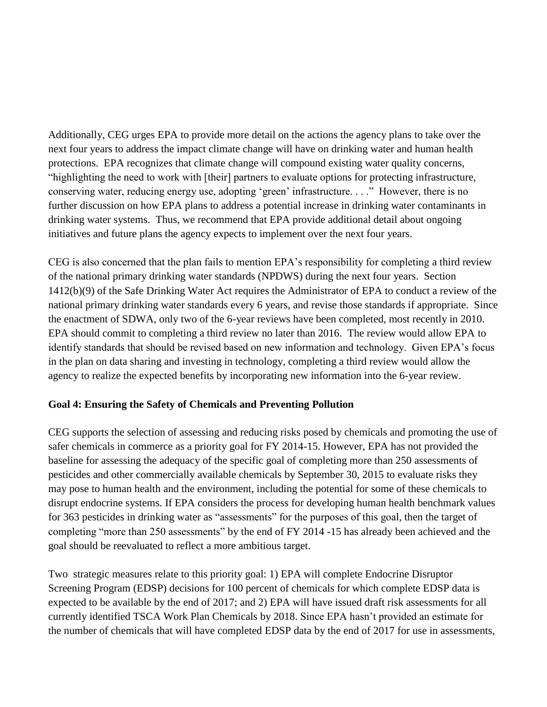Additionally, CEG urges EPA to provide more detail on the actions the agency plans to take over the next four years to address the impact climate change will have on drinking water and human health protections. EPA recognizes that climate change will compound existing water quality concerns, "highlighting the need to work with [their] partners to evaluate options for protecting infrastructure, conserving water, reducing energy use, adopting 'green' infrastructure. . . ." However, there is no further discussion on how EPA plans to address a potential increase in drinking water contaminants in drinking water systems. Thus, we recommend that EPA provide additional detail about ongoing initiatives and future plans the agency expects to implement over the next four years.

CEG is also concerned that the plan fails to mention EPA's responsibility for completing a third review of the national primary drinking water standards (NPDWS) during the next four years. Section 1412(b)(9) of the Safe Drinking Water Act requires the Administrator of EPA to conduct a review of the national primary drinking water standards every 6 years, and revise those standards if appropriate. Since the enactment of SDWA, only two of the 6-year reviews have been completed, most recently in 2010. EPA should commit to completing a third review no later than 2016. The review would allow EPA to identify standards that should be revised based on new information and technology. Given EPA's focus in the plan on data sharing and investing in technology, completing a third review would allow the agency to realize the expected benefits by incorporating new information into the 6-year review.

## **Goal 4: Ensuring the Safety of Chemicals and Preventing Pollution**

CEG supports the selection of assessing and reducing risks posed by chemicals and promoting the use of safer chemicals in commerce as a priority goal for FY 2014-15. However, EPA has not provided the baseline for assessing the adequacy of the specific goal of completing more than 250 assessments of pesticides and other commercially available chemicals by September 30, 2015 to evaluate risks they may pose to human health and the environment, including the potential for some of these chemicals to disrupt endocrine systems. If EPA considers the process for developing human health benchmark values for 363 pesticides in drinking water as "assessments" for the purposes of this goal, then the target of completing "more than 250 assessments" by the end of FY 2014 -15 has already been achieved and the goal should be reevaluated to reflect a more ambitious target.

Two strategic measures relate to this priority goal: 1) EPA will complete Endocrine Disruptor Screening Program (EDSP) decisions for 100 percent of chemicals for which complete EDSP data is expected to be available by the end of 2017; and 2) EPA will have issued draft risk assessments for all currently identified TSCA Work Plan Chemicals by 2018. Since EPA hasn't provided an estimate for the number of chemicals that will have completed EDSP data by the end of 2017 for use in assessments,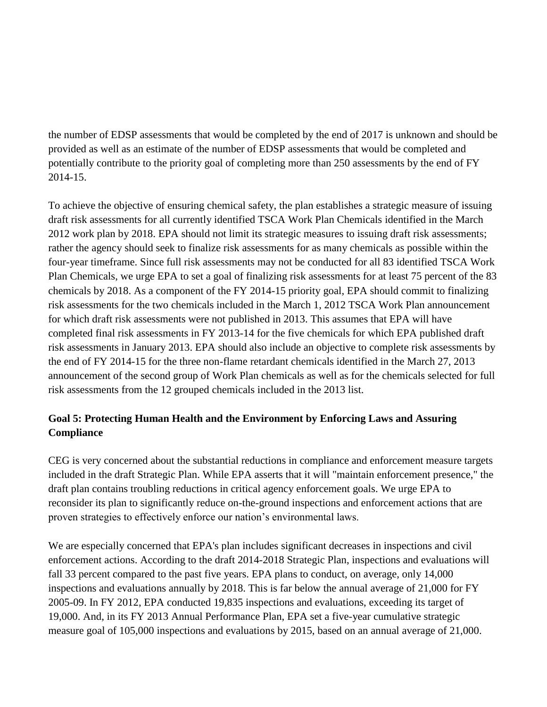the number of EDSP assessments that would be completed by the end of 2017 is unknown and should be provided as well as an estimate of the number of EDSP assessments that would be completed and potentially contribute to the priority goal of completing more than 250 assessments by the end of FY 2014-15.

To achieve the objective of ensuring chemical safety, the plan establishes a strategic measure of issuing draft risk assessments for all currently identified TSCA Work Plan Chemicals identified in the March 2012 work plan by 2018. EPA should not limit its strategic measures to issuing draft risk assessments; rather the agency should seek to finalize risk assessments for as many chemicals as possible within the four-year timeframe. Since full risk assessments may not be conducted for all 83 identified TSCA Work Plan Chemicals, we urge EPA to set a goal of finalizing risk assessments for at least 75 percent of the 83 chemicals by 2018. As a component of the FY 2014-15 priority goal, EPA should commit to finalizing risk assessments for the two chemicals included in the March 1, 2012 TSCA Work Plan announcement for which draft risk assessments were not published in 2013. This assumes that EPA will have completed final risk assessments in FY 2013-14 for the five chemicals for which EPA published draft risk assessments in January 2013. EPA should also include an objective to complete risk assessments by the end of FY 2014-15 for the three non-flame retardant chemicals identified in the March 27, 2013 announcement of the second group of Work Plan chemicals as well as for the chemicals selected for full risk assessments from the 12 grouped chemicals included in the 2013 list.

# **Goal 5: Protecting Human Health and the Environment by Enforcing Laws and Assuring Compliance**

CEG is very concerned about the substantial reductions in compliance and enforcement measure targets included in the draft Strategic Plan. While EPA asserts that it will "maintain enforcement presence," the draft plan contains troubling reductions in critical agency enforcement goals. We urge EPA to reconsider its plan to significantly reduce on-the-ground inspections and enforcement actions that are proven strategies to effectively enforce our nation's environmental laws.

We are especially concerned that EPA's plan includes significant decreases in inspections and civil enforcement actions. According to the draft 2014-2018 Strategic Plan, inspections and evaluations will fall 33 percent compared to the past five years. EPA plans to conduct, on average, only 14,000 inspections and evaluations annually by 2018. This is far below the annual average of 21,000 for FY 2005-09. In FY 2012, EPA conducted 19,835 inspections and evaluations, exceeding its target of 19,000. And, in its FY 2013 Annual Performance Plan, EPA set a five-year cumulative strategic measure goal of 105,000 inspections and evaluations by 2015, based on an annual average of 21,000.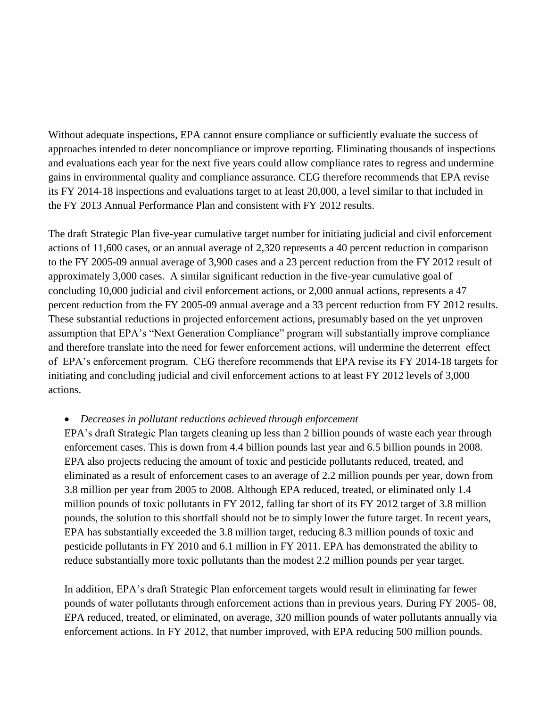Without adequate inspections, EPA cannot ensure compliance or sufficiently evaluate the success of approaches intended to deter noncompliance or improve reporting. Eliminating thousands of inspections and evaluations each year for the next five years could allow compliance rates to regress and undermine gains in environmental quality and compliance assurance. CEG therefore recommends that EPA revise its FY 2014-18 inspections and evaluations target to at least 20,000, a level similar to that included in the FY 2013 Annual Performance Plan and consistent with FY 2012 results.

The draft Strategic Plan five-year cumulative target number for initiating judicial and civil enforcement actions of 11,600 cases, or an annual average of 2,320 represents a 40 percent reduction in comparison to the FY 2005-09 annual average of 3,900 cases and a 23 percent reduction from the FY 2012 result of approximately 3,000 cases. A similar significant reduction in the five-year cumulative goal of concluding 10,000 judicial and civil enforcement actions, or 2,000 annual actions, represents a 47 percent reduction from the FY 2005-09 annual average and a 33 percent reduction from FY 2012 results. These substantial reductions in projected enforcement actions, presumably based on the yet unproven assumption that EPA's "Next Generation Compliance" program will substantially improve compliance and therefore translate into the need for fewer enforcement actions, will undermine the deterrent effect of EPA's enforcement program. CEG therefore recommends that EPA revise its FY 2014-18 targets for initiating and concluding judicial and civil enforcement actions to at least FY 2012 levels of 3,000 actions.

## *Decreases in pollutant reductions achieved through enforcement*

EPA's draft Strategic Plan targets cleaning up less than 2 billion pounds of waste each year through enforcement cases. This is down from 4.4 billion pounds last year and 6.5 billion pounds in 2008. EPA also projects reducing the amount of toxic and pesticide pollutants reduced, treated, and eliminated as a result of enforcement cases to an average of 2.2 million pounds per year, down from 3.8 million per year from 2005 to 2008. Although EPA reduced, treated, or eliminated only 1.4 million pounds of toxic pollutants in FY 2012, falling far short of its FY 2012 target of 3.8 million pounds, the solution to this shortfall should not be to simply lower the future target. In recent years, EPA has substantially exceeded the 3.8 million target, reducing 8.3 million pounds of toxic and pesticide pollutants in FY 2010 and 6.1 million in FY 2011. EPA has demonstrated the ability to reduce substantially more toxic pollutants than the modest 2.2 million pounds per year target.

In addition, EPA's draft Strategic Plan enforcement targets would result in eliminating far fewer pounds of water pollutants through enforcement actions than in previous years. During FY 2005- 08, EPA reduced, treated, or eliminated, on average, 320 million pounds of water pollutants annually via enforcement actions. In FY 2012, that number improved, with EPA reducing 500 million pounds.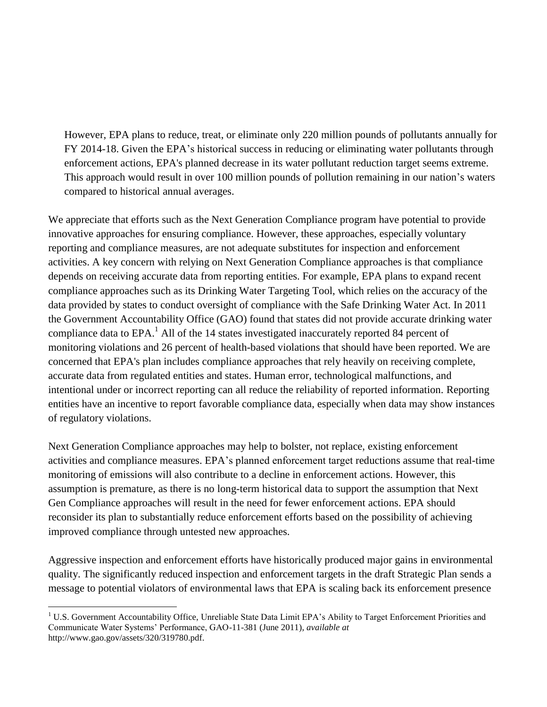However, EPA plans to reduce, treat, or eliminate only 220 million pounds of pollutants annually for FY 2014-18. Given the EPA's historical success in reducing or eliminating water pollutants through enforcement actions, EPA's planned decrease in its water pollutant reduction target seems extreme. This approach would result in over 100 million pounds of pollution remaining in our nation's waters compared to historical annual averages.

We appreciate that efforts such as the Next Generation Compliance program have potential to provide innovative approaches for ensuring compliance. However, these approaches, especially voluntary reporting and compliance measures, are not adequate substitutes for inspection and enforcement activities. A key concern with relying on Next Generation Compliance approaches is that compliance depends on receiving accurate data from reporting entities. For example, EPA plans to expand recent compliance approaches such as its Drinking Water Targeting Tool, which relies on the accuracy of the data provided by states to conduct oversight of compliance with the Safe Drinking Water Act. In 2011 the Government Accountability Office (GAO) found that states did not provide accurate drinking water compliance data to EPA.<sup>1</sup> All of the 14 states investigated inaccurately reported 84 percent of monitoring violations and 26 percent of health-based violations that should have been reported. We are concerned that EPA's plan includes compliance approaches that rely heavily on receiving complete, accurate data from regulated entities and states. Human error, technological malfunctions, and intentional under or incorrect reporting can all reduce the reliability of reported information. Reporting entities have an incentive to report favorable compliance data, especially when data may show instances of regulatory violations.

Next Generation Compliance approaches may help to bolster, not replace, existing enforcement activities and compliance measures. EPA's planned enforcement target reductions assume that real-time monitoring of emissions will also contribute to a decline in enforcement actions. However, this assumption is premature, as there is no long-term historical data to support the assumption that Next Gen Compliance approaches will result in the need for fewer enforcement actions. EPA should reconsider its plan to substantially reduce enforcement efforts based on the possibility of achieving improved compliance through untested new approaches.

Aggressive inspection and enforcement efforts have historically produced major gains in environmental quality. The significantly reduced inspection and enforcement targets in the draft Strategic Plan sends a message to potential violators of environmental laws that EPA is scaling back its enforcement presence

<sup>1</sup>  $<sup>1</sup>$  U.S. Government Accountability Office, Unreliable State Data Limit EPA's Ability to Target Enforcement Priorities and</sup> Communicate Water Systems' Performance, GAO-11-381 (June 2011), *available at* http://www.gao.gov/assets/320/319780.pdf.